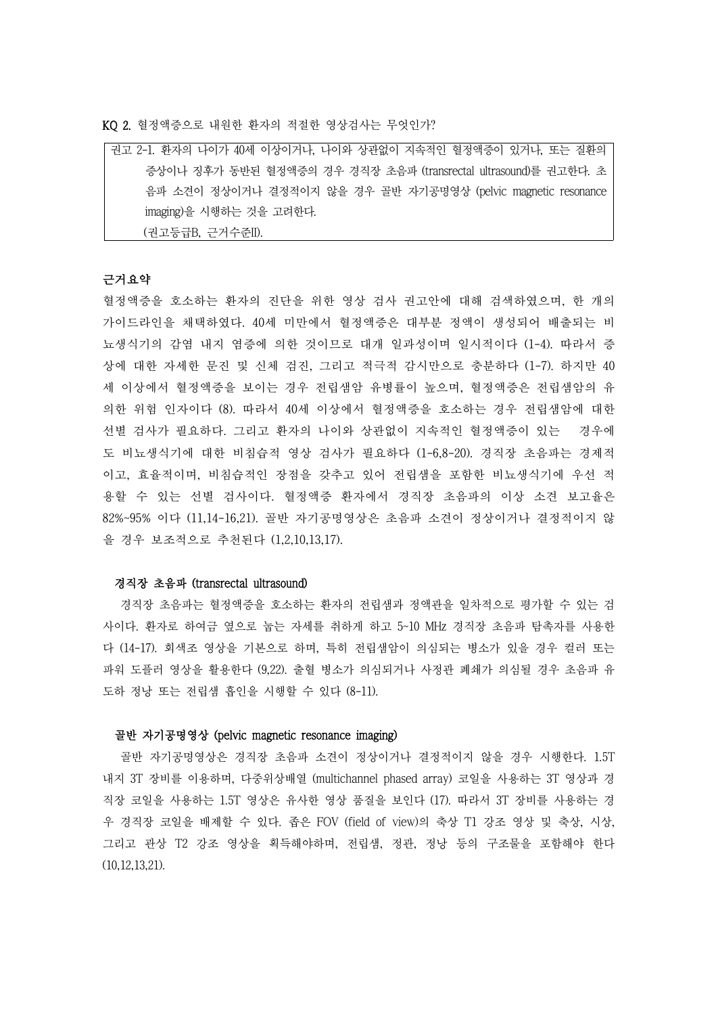KQ 2. 혈정액증으로 내원한 환자의 적절한 영상검사는 무엇인가?

| 권고 2-1. 환자의 나이가 40세 이상이거나, 나이와 상관없이 지속적인 혈정액증이 있거나, 또는 질환의      |
|-----------------------------------------------------------------|
| 증상이나 징후가 동반된 혈정액증의 경우 경직장 초음파 (transrectal ultrasound)를 권고한다. 초 |
| 음파 소견이 정상이거나 결정적이지 않을 경우 골반 자기공명영상 (pelvic magnetic resonance   |
| imaging)을 시행하는 것을 고려한다.                                         |
| (권고등급B, 근거수준II).                                                |

# 근거요약

혈정액증을 호소하는 환자의 진단을 위한 영상 검사 권고안에 대해 검색하였으며, 한 개의 가이드라인을 채택하였다. 40세 미만에서 혈정액증은 대부분 정액이 생성되어 배출되는 비 뇨생식기의 감염 내지 염증에 의한 것이므로 대개 일과성이며 일시적이다 (1-4). 따라서 증 상에 대한 자세한 문진 및 신체 검진, 그리고 적극적 감시만으로 충분하다 (1-7). 하지만 40 세 이상에서 혈정액증을 보이는 경우 전립샘암 유병률이 높으며, 혈정액증은 전립샘암의 유 의한 위험 인자이다 (8). 따라서 40세 이상에서 혈정액증을 호소하는 경우 전립샘암에 대한 선별 검사가 필요하다. 그리고 환자의 나이와 상관없이 지속적인 혈정액증이 있는 경우에 도 비뇨생식기에 대한 비침습적 영상 검사가 필요하다 (1-6,8-20). 경직장 초음파는 경제적 이고, 효율적이며, 비침습적인 장점을 갖추고 있어 전립샘을 포함한 비뇨생식기에 우선 적 용할 수 있는 선별 검사이다. 혈정액증 환자에서 경직장 초음파의 이상 소견 보고율은 82%~95% 이다 (11,14-16,21). 골반 자기공명영상은 초음파 소견이 정상이거나 결정적이지 않 을 경우 보조적으로 추천된다 (1,2,10,13,17).

# 경직장 초음파 (transrectal ultrasound)

경직장 초음파는 혈정액증을 호소하는 환자의 전립샘과 정액관을 일차적으로 평가할 수 있는 검 사이다. 환자로 하여금 옆으로 눕는 자세를 취하게 하고 5~10 MHz 경직장 초음파 탐촉자를 사용한 다 (14-17). 회색조 영상을 기본으로 하며, 특히 전립샘암이 의심되는 병소가 있을 경우 컬러 또는 파워 도플러 영상을 활용한다 (9,22). 출혈 병소가 의심되거나 사정관 폐쇄가 의심될 경우 초음파 유 도하 정낭 또는 전립샘 흡인을 시행할 수 있다 (8-11).

## 골반 자기공명영상 (pelvic magnetic resonance imaging)

골반 자기공명영상은 경직장 초음파 소견이 정상이거나 결정적이지 않을 경우 시행한다. 1.5T 내지 3T 장비를 이용하며, 다중위상배열 (multichannel phased array) 코일을 사용하는 3T 영상과 경 직장 코일을 사용하는 1.5T 영상은 유사한 영상 품질을 보인다 (17). 따라서 3T 장비를 사용하는 경 우 경직장 코일을 배제할 수 있다. 좁은 FOV (field of view)의 축상 T1 강조 영상 및 축상, 시상,<br>그리고 관상 T2 강조 영상을 획득해야하며, 전립샘, 정관, 정낭 등의 구조물을 포함해야 한다 (10,12,13,21).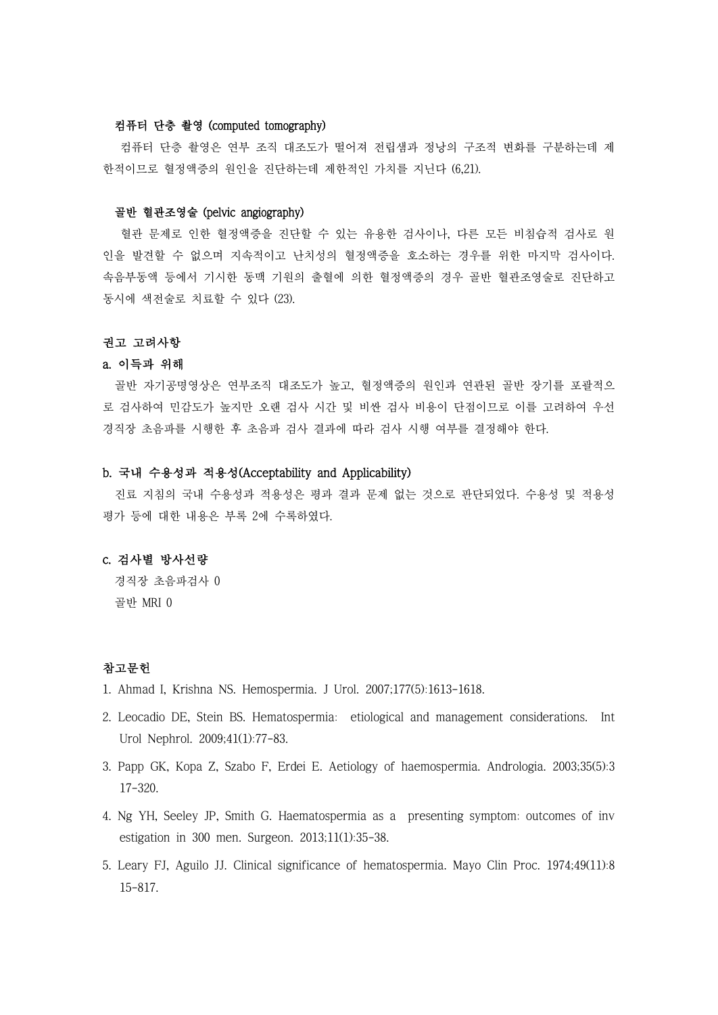## 컴퓨터 단층 촬영 (computed tomography)

컴퓨터 단층 촬영은 연부 조직 대조도가 떨어져 전립샘과 정낭의 구조적 변화를 구분하는데 제 한적이므로 혈정액증의 원인을 진단하는데 제한적인 가치를 지닌다 (6,21).

### 골반 혈관조영술 (pelvic angiography)

혈관 문제로 인한 혈정액증을 진단할 수 있는 유용한 검사이나, 다른 모든 비침습적 검사로 원 인을 발견할 수 없으며 지속적이고 난치성의 혈정액증을 호소하는 경우를 위한 마지막 검사이다.<br>속음부동액 등에서 기시한 동맥 기원의 출혈에 의한 혈정액증의 경우 골반 혈관조영술로 진단하고 동시에 색전술로 치료할 수 있다 (23).

#### 권고 고려사항

#### a. 이득과 위해

골반 자기공명영상은 연부조직 대조도가 높고, 혈정액증의 원인과 연관된 골반 장기를 포괄적으 로 검사하여 민감도가 높지만 오랜 검사 시간 및 비싼 검사 비용이 단점이므로 이를 고려하여 우선 경직장 초음파를 시행한 후 초음파 검사 결과에 따라 검사 시행 여부를 결정해야 한다.

## b. 국내 수용성과 적용성(Acceptability and Applicability)

진료 지침의 국내 수용성과 적용성은 평과 결과 문제 없는 것으로 판단되었다. 수용성 및 적용성 평가 등에 대한 내용은 부록 2에 수록하였다.

# c. 검사별 방사선량

경직장 초음파검사 0 골반 MRI 0

# 참고문헌

- 1. Ahmad I, Krishna NS. Hemospermia. J Urol. 2007;177(5):1613-1618.
- 2. Leocadio DE, Stein BS. Hematospermia: etiological and management considerations. Int Urol Nephrol. 2009;41(1):77-83.
- 3. Papp GK, Kopa Z, Szabo F, Erdei E. Aetiology of haemospermia. Andrologia. 2003;35(5):3 17-320.
- 4. Ng YH, Seeley JP, Smith G. Haematospermia as a presenting symptom: outcomes of inv estigation in 300 men. Surgeon. 2013;11(1):35-38.
- 5. Leary FJ, Aguilo JJ. Clinical significance of hematospermia. Mayo Clin Proc. 1974;49(11):8 15-817.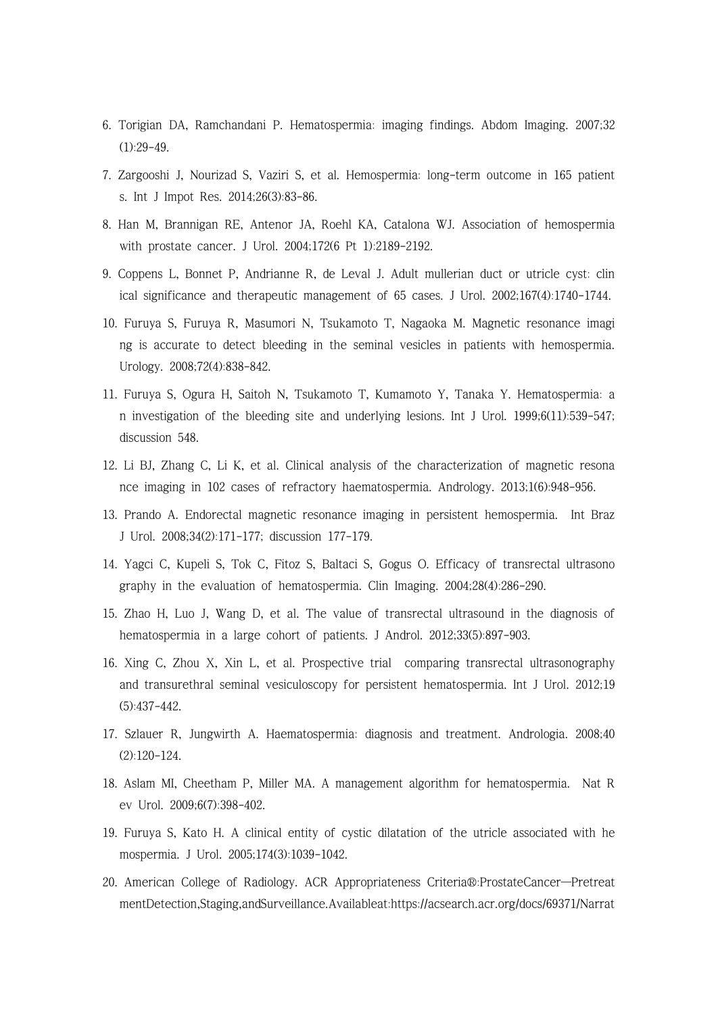- 6. Torigian DA, Ramchandani P. Hematospermia: imaging findings. Abdom Imaging. 2007;32 (1):29-49.
- 7. Zargooshi J, Nourizad S, Vaziri S, et al. Hemospermia: long-term outcome in 165 patient s. Int J Impot Res. 2014;26(3):83-86.
- 8. Han M, Brannigan RE, Antenor JA, Roehl KA, Catalona WJ. Association of hemospermia with prostate cancer. J Urol. 2004;172(6 Pt 1):2189-2192.
- 9. Coppens L, Bonnet P, Andrianne R, de Leval J. Adult mullerian duct or utricle cyst: clin ical significance and therapeutic management of 65 cases. J Urol. 2002;167(4):1740-1744.
- 10. Furuya S, Furuya R, Masumori N, Tsukamoto T, Nagaoka M. Magnetic resonance imagi ng is accurate to detect bleeding in the seminal vesicles in patients with hemospermia. Urology. 2008;72(4):838-842.
- 11. Furuya S, Ogura H, Saitoh N, Tsukamoto T, Kumamoto Y, Tanaka Y. Hematospermia: a n investigation of the bleeding site and underlying lesions. Int J Urol. 1999;6(11):539-547; discussion 548.
- 12. Li BJ, Zhang C, Li K, et al. Clinical analysis of the characterization of magnetic resona nce imaging in 102 cases of refractory haematospermia. Andrology. 2013;1(6):948-956.
- 13. Prando A. Endorectal magnetic resonance imaging in persistent hemospermia. Int Braz J Urol. 2008;34(2):171-177; discussion 177-179.
- 14. Yagci C, Kupeli S, Tok C, Fitoz S, Baltaci S, Gogus O. Efficacy of transrectal ultrasono graphy in the evaluation of hematospermia. Clin Imaging. 2004;28(4):286-290.
- 15. Zhao H, Luo J, Wang D, et al. The value of transrectal ultrasound in the diagnosis of hematospermia in a large cohort of patients. J Androl. 2012;33(5):897-903.
- 16. Xing C, Zhou X, Xin L, et al. Prospective trial comparing transrectal ultrasonography and transurethral seminal vesiculoscopy for persistent hematospermia. Int J Urol. 2012;19 (5):437-442.
- 17. Szlauer R, Jungwirth A. Haematospermia: diagnosis and treatment. Andrologia. 2008;40 (2):120-124.
- 18. Aslam MI, Cheetham P, Miller MA. A management algorithm for hematospermia. Nat R ev Urol. 2009;6(7):398-402.
- 19. Furuya S, Kato H. A clinical entity of cystic dilatation of the utricle associated with he mospermia. J Urol. 2005;174(3):1039-1042.
- 20. American College of Radiology. ACR Appropriateness Criteria®:ProstateCancer—Pretreat mentDetection,Staging,andSurveillance.Availableat:https://acsearch.acr.org/docs/69371/Narrat